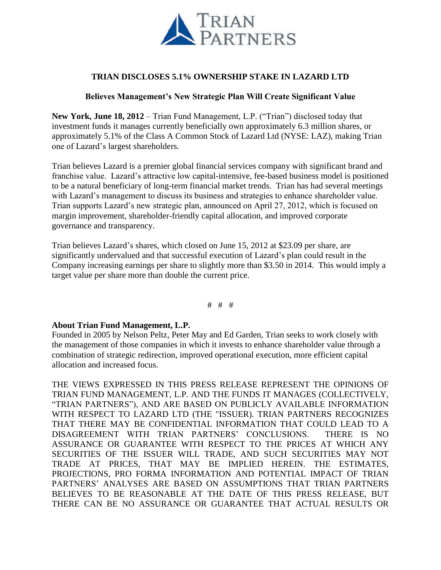

## **TRIAN DISCLOSES 5.1% OWNERSHIP STAKE IN LAZARD LTD**

## **Believes Management's New Strategic Plan Will Create Significant Value**

**New York, June 18, 2012** – Trian Fund Management, L.P. ("Trian") disclosed today that investment funds it manages currently beneficially own approximately 6.3 million shares, or approximately 5.1% of the Class A Common Stock of Lazard Ltd (NYSE: LAZ), making Trian one of Lazard's largest shareholders.

Trian believes Lazard is a premier global financial services company with significant brand and franchise value. Lazard's attractive low capital-intensive, fee-based business model is positioned to be a natural beneficiary of long-term financial market trends. Trian has had several meetings with Lazard's management to discuss its business and strategies to enhance shareholder value. Trian supports Lazard's new strategic plan, announced on April 27, 2012, which is focused on margin improvement, shareholder-friendly capital allocation, and improved corporate governance and transparency.

Trian believes Lazard's shares, which closed on June 15, 2012 at \$23.09 per share, are significantly undervalued and that successful execution of Lazard's plan could result in the Company increasing earnings per share to slightly more than \$3.50 in 2014. This would imply a target value per share more than double the current price.

# # #

## **About Trian Fund Management, L.P.**

Founded in 2005 by Nelson Peltz, Peter May and Ed Garden, Trian seeks to work closely with the management of those companies in which it invests to enhance shareholder value through a combination of strategic redirection, improved operational execution, more efficient capital allocation and increased focus.

THE VIEWS EXPRESSED IN THIS PRESS RELEASE REPRESENT THE OPINIONS OF TRIAN FUND MANAGEMENT, L.P. AND THE FUNDS IT MANAGES (COLLECTIVELY, "TRIAN PARTNERS"), AND ARE BASED ON PUBLICLY AVAILABLE INFORMATION WITH RESPECT TO LAZARD LTD (THE "ISSUER). TRIAN PARTNERS RECOGNIZES THAT THERE MAY BE CONFIDENTIAL INFORMATION THAT COULD LEAD TO A DISAGREEMENT WITH TRIAN PARTNERS' CONCLUSIONS. THERE IS NO ASSURANCE OR GUARANTEE WITH RESPECT TO THE PRICES AT WHICH ANY SECURITIES OF THE ISSUER WILL TRADE, AND SUCH SECURITIES MAY NOT TRADE AT PRICES, THAT MAY BE IMPLIED HEREIN. THE ESTIMATES, PROJECTIONS, PRO FORMA INFORMATION AND POTENTIAL IMPACT OF TRIAN PARTNERS' ANALYSES ARE BASED ON ASSUMPTIONS THAT TRIAN PARTNERS BELIEVES TO BE REASONABLE AT THE DATE OF THIS PRESS RELEASE, BUT THERE CAN BE NO ASSURANCE OR GUARANTEE THAT ACTUAL RESULTS OR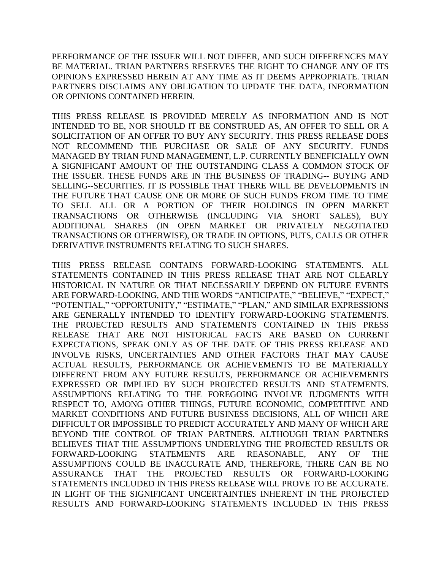PERFORMANCE OF THE ISSUER WILL NOT DIFFER, AND SUCH DIFFERENCES MAY BE MATERIAL. TRIAN PARTNERS RESERVES THE RIGHT TO CHANGE ANY OF ITS OPINIONS EXPRESSED HEREIN AT ANY TIME AS IT DEEMS APPROPRIATE. TRIAN PARTNERS DISCLAIMS ANY OBLIGATION TO UPDATE THE DATA, INFORMATION OR OPINIONS CONTAINED HEREIN.

THIS PRESS RELEASE IS PROVIDED MERELY AS INFORMATION AND IS NOT INTENDED TO BE, NOR SHOULD IT BE CONSTRUED AS, AN OFFER TO SELL OR A SOLICITATION OF AN OFFER TO BUY ANY SECURITY. THIS PRESS RELEASE DOES NOT RECOMMEND THE PURCHASE OR SALE OF ANY SECURITY. FUNDS MANAGED BY TRIAN FUND MANAGEMENT, L.P. CURRENTLY BENEFICIALLY OWN A SIGNIFICANT AMOUNT OF THE OUTSTANDING CLASS A COMMON STOCK OF THE ISSUER. THESE FUNDS ARE IN THE BUSINESS OF TRADING-- BUYING AND SELLING--SECURITIES. IT IS POSSIBLE THAT THERE WILL BE DEVELOPMENTS IN THE FUTURE THAT CAUSE ONE OR MORE OF SUCH FUNDS FROM TIME TO TIME TO SELL ALL OR A PORTION OF THEIR HOLDINGS IN OPEN MARKET TRANSACTIONS OR OTHERWISE (INCLUDING VIA SHORT SALES), BUY ADDITIONAL SHARES (IN OPEN MARKET OR PRIVATELY NEGOTIATED TRANSACTIONS OR OTHERWISE), OR TRADE IN OPTIONS, PUTS, CALLS OR OTHER DERIVATIVE INSTRUMENTS RELATING TO SUCH SHARES.

THIS PRESS RELEASE CONTAINS FORWARD-LOOKING STATEMENTS. ALL STATEMENTS CONTAINED IN THIS PRESS RELEASE THAT ARE NOT CLEARLY HISTORICAL IN NATURE OR THAT NECESSARILY DEPEND ON FUTURE EVENTS ARE FORWARD-LOOKING, AND THE WORDS "ANTICIPATE," "BELIEVE," "EXPECT," "POTENTIAL," "OPPORTUNITY," "ESTIMATE," "PLAN," AND SIMILAR EXPRESSIONS ARE GENERALLY INTENDED TO IDENTIFY FORWARD-LOOKING STATEMENTS. THE PROJECTED RESULTS AND STATEMENTS CONTAINED IN THIS PRESS RELEASE THAT ARE NOT HISTORICAL FACTS ARE BASED ON CURRENT EXPECTATIONS, SPEAK ONLY AS OF THE DATE OF THIS PRESS RELEASE AND INVOLVE RISKS, UNCERTAINTIES AND OTHER FACTORS THAT MAY CAUSE ACTUAL RESULTS, PERFORMANCE OR ACHIEVEMENTS TO BE MATERIALLY DIFFERENT FROM ANY FUTURE RESULTS, PERFORMANCE OR ACHIEVEMENTS EXPRESSED OR IMPLIED BY SUCH PROJECTED RESULTS AND STATEMENTS. ASSUMPTIONS RELATING TO THE FOREGOING INVOLVE JUDGMENTS WITH RESPECT TO, AMONG OTHER THINGS, FUTURE ECONOMIC, COMPETITIVE AND MARKET CONDITIONS AND FUTURE BUSINESS DECISIONS, ALL OF WHICH ARE DIFFICULT OR IMPOSSIBLE TO PREDICT ACCURATELY AND MANY OF WHICH ARE BEYOND THE CONTROL OF TRIAN PARTNERS. ALTHOUGH TRIAN PARTNERS BELIEVES THAT THE ASSUMPTIONS UNDERLYING THE PROJECTED RESULTS OR FORWARD-LOOKING STATEMENTS ARE REASONABLE, ANY OF THE ASSUMPTIONS COULD BE INACCURATE AND, THEREFORE, THERE CAN BE NO ASSURANCE THAT THE PROJECTED RESULTS OR FORWARD-LOOKING STATEMENTS INCLUDED IN THIS PRESS RELEASE WILL PROVE TO BE ACCURATE. IN LIGHT OF THE SIGNIFICANT UNCERTAINTIES INHERENT IN THE PROJECTED RESULTS AND FORWARD-LOOKING STATEMENTS INCLUDED IN THIS PRESS